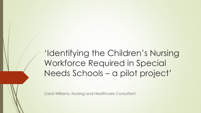'Identifying the Children's Nursing Workforce Required in Special Needs Schools – a pilot project'

Carol Williams, Nursing and Healthcare Consultant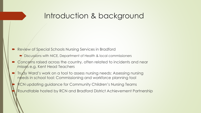#### Introduction & background

- Review of Special Schools Nursing Services in Bradford
	- Discussions with NICE, Department of Health & local commissioners
- Concerns raised across the country, often related to incidents and near misses e.g. Kent Head Teachers
- Trudy Ward's work on a tool to assess nursing needs: Assessing nursing needs in school tool: Commissioning and workforce planning tool
- RCN updating guidance for Community Children's Nursing Teams
- Roundtable hosted by RCN and Bradford District Achievement Partnership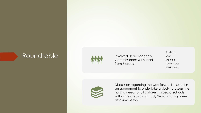#### Roundtable Involved Head Teachers,



Commissioners & LA lead from 5 areas:

Bradford Kent Sheffield South Wales West Sussex



Discussion regarding the way forward resulted in an agreement to undertake a study to assess the nursing needs of all children in special schools within the areas using Trudy Ward's nursing needs assessment tool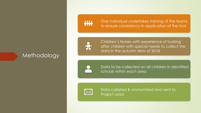**MMM** 

One individual undertakes training of the teams to ensure consistency in application of the tool



Methodology

Children's Nurses with experience of looking after children with special needs to collect the data in the autumn term of 2018

Data to be collected on all children in identified schools within each area



Data collated & anonymised and sent to Project Lead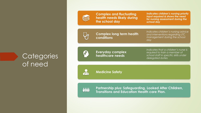

**Complex and fluctuating health needs likely during the school day**

*Indicates children's nursing priority input required & shows the need for nursing assessment during the school day* 

 $\bigcup_{\mathsf{P}}$ 

**Complex long term health conditions**

*Indicates children's nursing advice and interventions regarding LTC management during the school day*

#### **Categories** of need



**Everyday complex healthcare needs** 

*Indicates that a children's nurse is required to train a member of school staff in specific skills under delegated duties*

 $\mathcal{P}_0$ 

**Medicine Safety**

2222 **THILL** 

**Partnership plus: Safeguarding, Looked After Children, Transitions and Education Health care Plan.**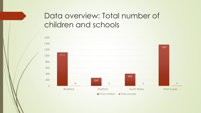# Data overview: Total number of children and schools

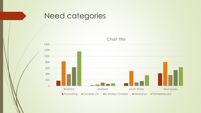

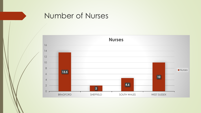

#### Number of Nurses

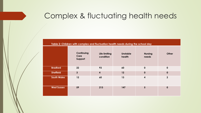# Complex & fluctuating health needs

**Table 2: Children with complex and fluctuation health needs during the school day**

|                    | Continuing<br>Care<br>Support | Life limiting<br>condition | <b>Unstable</b><br>health | <b>Nursing</b><br>needs | Other          |
|--------------------|-------------------------------|----------------------------|---------------------------|-------------------------|----------------|
| <b>Bradford</b>    | 22                            | 93                         | 60                        | $\bf{0}$                | $\mathbf 0$    |
| <b>Sheffield</b>   | $\mathbf{3}$                  | $\boldsymbol{4}$           | 12                        | $\mathbf 0$             | $\mathbf 0$    |
| <b>South Wales</b> | 12                            | 60                         | 13                        | $\overline{\mathbf{4}}$ | $\overline{2}$ |
| <b>West Sussex</b> | 59                            | 213                        | 147                       | 5                       | $\mathbf 0$    |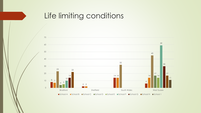## Life limiting conditions

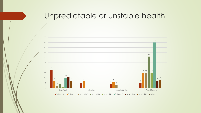#### Unpredictable or unstable health

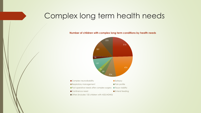## Complex long term health needs

**Number of children with complex long term conditions by health needs** 



Other (includes 132 children with ASD/ADHD)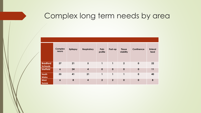#### Complex long term needs by area

|                                   | <b>Complex</b><br>neuro | <b>Epilepsy</b> | <b>Respiratory</b>      | Pain<br>profile | Post-op          | <b>Tissue</b><br>viability | Continence  | <b>Enteral</b><br>feed |
|-----------------------------------|-------------------------|-----------------|-------------------------|-----------------|------------------|----------------------------|-------------|------------------------|
| <b>Bradford</b><br><b>Schools</b> | 37                      | 21              | 5                       | 1               | 1                | $\overline{2}$             | $\mathbf 0$ | 22                     |
| <b>Sheffield</b>                  | $\boldsymbol{6}$        | 24              | $\overline{\mathbf{4}}$ | $\mathbf 0$     | $\mathbf 0$      | $\mathbf 0$                | $\bf{0}$    | 11                     |
| South<br><b>Wales</b>             | 55                      | 41              | 21                      | 1               | 1                | п                          | $\bf{0}$    | 40                     |
| <b>West</b><br><b>Sussex</b>      | $\boldsymbol{6}$        | 8               | $\boldsymbol{4}$        | $\overline{2}$  | $\boldsymbol{2}$ | $\mathbf 0$                | $\mathbf 0$ | 8                      |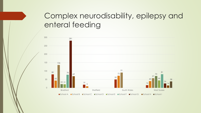# Complex neurodisability, epilepsy and enteral feeding

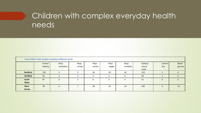# Children with complex everyday health needs

|                       | Total children with complex everyday healthcare needs |                      |                 |                  |                 |                   |                            |                 |                         |
|-----------------------|-------------------------------------------------------|----------------------|-----------------|------------------|-----------------|-------------------|----------------------------|-----------------|-------------------------|
|                       | Enteral<br>feeding                                    | Resp:<br>ventilation | Resp:<br>airway | Resp:<br>suction | Resp:<br>oxygen | Resp:<br>humidity | Epilepsy<br>rescue<br>meds | Central<br>line | <b>Blood</b><br>glucose |
| <b>Bradford</b>       | 159                                                   |                      |                 | 50               | 19              | 16                | 118                        |                 |                         |
| <b>Sheffield</b>      | 36                                                    |                      |                 | 4                |                 | $\Omega$          | 58                         |                 |                         |
| South<br><b>Wales</b> | 47                                                    | $\Omega$             |                 | 6                |                 |                   | 51                         | $\mathbf{0}$    |                         |
| West<br><b>Sussex</b> | 78                                                    | 4                    |                 | 60               | 26              | 19                | 109                        |                 | 13                      |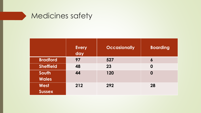

|                              | <b>Every</b><br>day | <b>Occasionally</b> | <b>Boarding</b>  |
|------------------------------|---------------------|---------------------|------------------|
| <b>Bradford</b>              | 97                  | 527                 | 6                |
| <b>Sheffield</b>             | 48                  | 23                  | 0                |
| South<br><b>Wales</b>        | 44                  | 120                 | $\boldsymbol{0}$ |
| <b>West</b><br><b>Sussex</b> | 212                 | 292                 | 28               |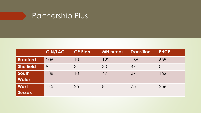# Partnership Plus

|                       | <b>CIN/LAC</b> | <b>CP Plan</b> | <b>MH</b> needs | <b>Transition</b> | <b>EHCP</b>    |
|-----------------------|----------------|----------------|-----------------|-------------------|----------------|
| <b>Bradford</b>       | 206            | 10             | 122             | 166               | 659            |
| <b>Sheffield</b>      | 9              | $\mathcal{S}$  | 30              | 47                | $\overline{O}$ |
| South<br><b>Wales</b> | 138            | 10             | 47              | 37                | 162            |
| West<br><b>Sussex</b> | 145            | 25             | 81              | 75                | 256            |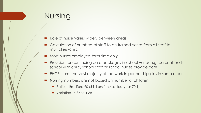# Nursing

- Role of nurse varies widely between areas
- Calculation of numbers of staff to be trained varies from all staff to multipliers/child
- Most nurses employed term time only
- Provision for continuing care packages in school varies e.g. carer attends school with child, school staff or school nurses provide care
- EHCPs form the vast majority of the work in partnership plus in some areas
- Nursing numbers are not based on number of children
	- Ratio in Bradford 90 children: 1 nurse (last year 70:1)
	- $\blacktriangleright$  Variation 1:135 to 1:88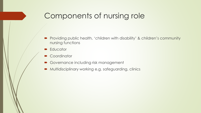# Components of nursing role

- Providing public health, 'children with disability' & children's community nursing functions
- **Educator**
- **Coordinator**
- Governance including risk management
- Multidisciplinary working e.g. safeguarding, clinics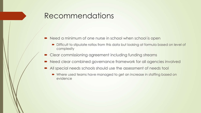#### Recommendations

- Need a minimum of one nurse in school when school is open
	- Difficult to stipulate ratios from this data but looking at formula based on level of complexity
- Clear commissioning agreement including funding streams
- Need clear combined governance framework for all agencies involved
- All special needs schools should use the assessment of needs tool
	- Where used teams have managed to get an increase in staffing based on evidence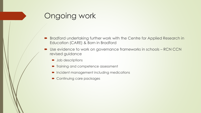# Ongoing work

- **Bradford undertaking further work with the Centre for Applied Research in** Education (CARE) & Born in Bradford
- Use evidence to work on governance frameworks in schools RCN CCN revised guidance
	- **D** Job descriptions
	- $\blacksquare$  Training and competence assessment
	- **•** Incident management including medications
	- Continuing care packages